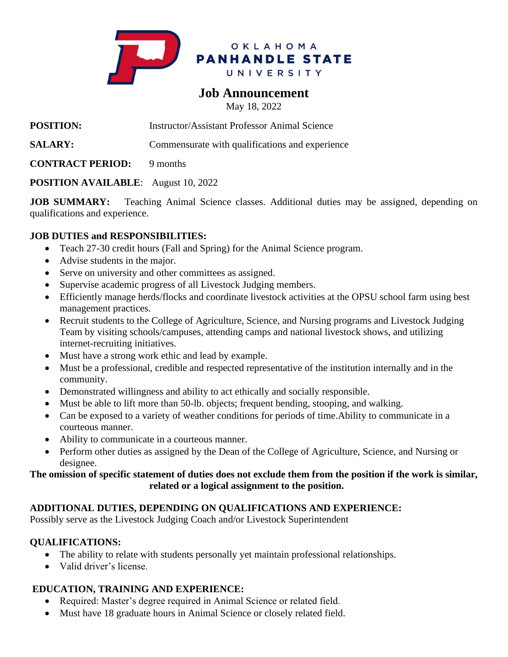

# **Job Announcement**

May 18, 2022

**POSITION:** Instructor/Assistant Professor Animal Science

**SALARY:** Commensurate with qualifications and experience

**CONTRACT PERIOD:** 9 months

## **POSITION AVAILABLE**: August 10, 2022

**JOB SUMMARY:** Teaching Animal Science classes. Additional duties may be assigned, depending on qualifications and experience.

#### **JOB DUTIES and RESPONSIBILITIES:**

- Teach 27-30 credit hours (Fall and Spring) for the Animal Science program.
- Advise students in the major.
- Serve on university and other committees as assigned.
- Supervise academic progress of all Livestock Judging members.
- Efficiently manage herds/flocks and coordinate livestock activities at the OPSU school farm using best management practices.
- Recruit students to the College of Agriculture, Science, and Nursing programs and Livestock Judging Team by visiting schools/campuses, attending camps and national livestock shows, and utilizing internet-recruiting initiatives.
- Must have a strong work ethic and lead by example.
- Must be a professional, credible and respected representative of the institution internally and in the community.
- Demonstrated willingness and ability to act ethically and socially responsible.
- Must be able to lift more than 50-lb. objects; frequent bending, stooping, and walking.
- Can be exposed to a variety of weather conditions for periods of time. Ability to communicate in a courteous manner.
- Ability to communicate in a courteous manner.
- Perform other duties as assigned by the Dean of the College of Agriculture, Science, and Nursing or designee.

#### **The omission of specific statement of duties does not exclude them from the position if the work is similar, related or a logical assignment to the position.**

## **ADDITIONAL DUTIES, DEPENDING ON QUALIFICATIONS AND EXPERIENCE:**

Possibly serve as the Livestock Judging Coach and/or Livestock Superintendent

#### **QUALIFICATIONS:**

- The ability to relate with students personally yet maintain professional relationships.
- Valid driver's license.

## **EDUCATION, TRAINING AND EXPERIENCE:**

- Required: Master's degree required in Animal Science or related field.
- Must have 18 graduate hours in Animal Science or closely related field.